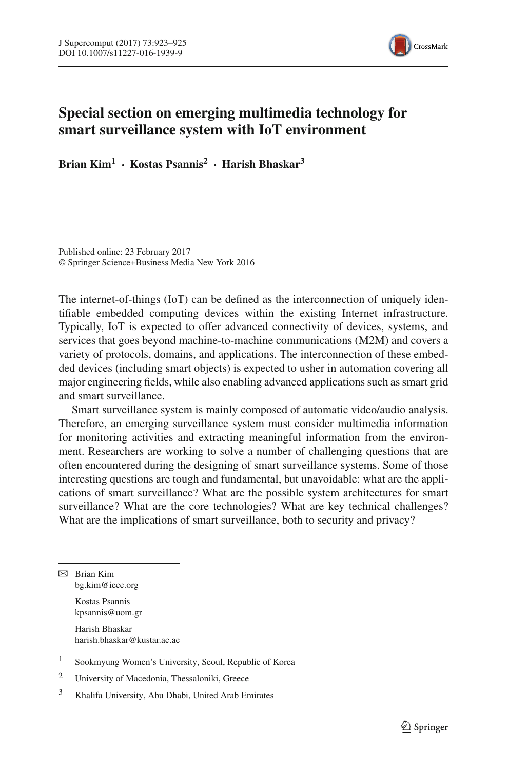

## **Special section on emerging multimedia technology for smart surveillance system with IoT environment**

**Brian Kim1 · Kostas Psannis<sup>2</sup> · Harish Bhaskar3**

Published online: 23 February 2017 © Springer Science+Business Media New York 2016

The internet-of-things (IoT) can be defined as the interconnection of uniquely identifiable embedded computing devices within the existing Internet infrastructure. Typically, IoT is expected to offer advanced connectivity of devices, systems, and services that goes beyond machine-to-machine communications (M2M) and covers a variety of protocols, domains, and applications. The interconnection of these embedded devices (including smart objects) is expected to usher in automation covering all major engineering fields, while also enabling advanced applications such as smart grid and smart surveillance.

Smart surveillance system is mainly composed of automatic video/audio analysis. Therefore, an emerging surveillance system must consider multimedia information for monitoring activities and extracting meaningful information from the environment. Researchers are working to solve a number of challenging questions that are often encountered during the designing of smart surveillance systems. Some of those interesting questions are tough and fundamental, but unavoidable: what are the applications of smart surveillance? What are the possible system architectures for smart surveillance? What are the core technologies? What are key technical challenges? What are the implications of smart surveillance, both to security and privacy?

 $\boxtimes$  Brian Kim bg.kim@ieee.org

> Kostas Psannis kpsannis@uom.gr

Harish Bhaskar harish.bhaskar@kustar.ac.ae

<sup>1</sup> Sookmyung Women's University, Seoul, Republic of Korea

<sup>2</sup> University of Macedonia, Thessaloniki, Greece

<sup>3</sup> Khalifa University, Abu Dhabi, United Arab Emirates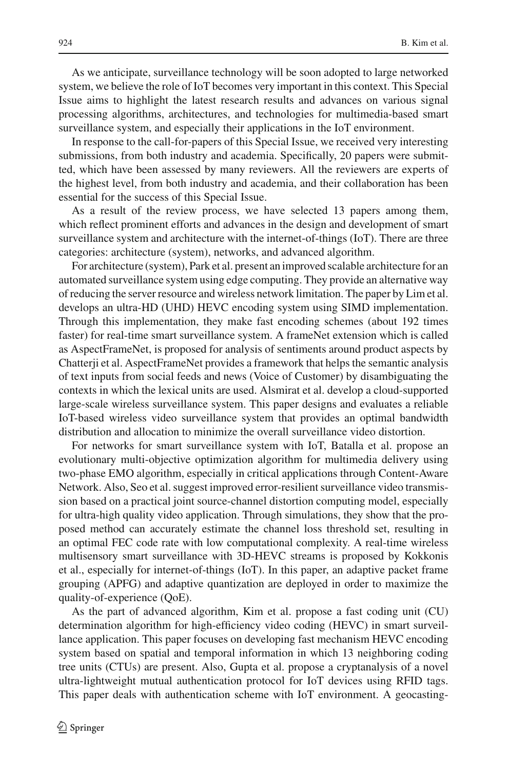As we anticipate, surveillance technology will be soon adopted to large networked system, we believe the role of IoT becomes very important in this context. This Special Issue aims to highlight the latest research results and advances on various signal processing algorithms, architectures, and technologies for multimedia-based smart surveillance system, and especially their applications in the IoT environment.

In response to the call-for-papers of this Special Issue, we received very interesting submissions, from both industry and academia. Specifically, 20 papers were submitted, which have been assessed by many reviewers. All the reviewers are experts of the highest level, from both industry and academia, and their collaboration has been essential for the success of this Special Issue.

As a result of the review process, we have selected 13 papers among them, which reflect prominent efforts and advances in the design and development of smart surveillance system and architecture with the internet-of-things (IoT). There are three categories: architecture (system), networks, and advanced algorithm.

For architecture (system), Park et al. present an improved scalable architecture for an automated surveillance system using edge computing. They provide an alternative way of reducing the server resource and wireless network limitation. The paper by Lim et al. develops an ultra-HD (UHD) HEVC encoding system using SIMD implementation. Through this implementation, they make fast encoding schemes (about 192 times faster) for real-time smart surveillance system. A frameNet extension which is called as AspectFrameNet, is proposed for analysis of sentiments around product aspects by Chatterji et al. AspectFrameNet provides a framework that helps the semantic analysis of text inputs from social feeds and news (Voice of Customer) by disambiguating the contexts in which the lexical units are used. Alsmirat et al. develop a cloud-supported large-scale wireless surveillance system. This paper designs and evaluates a reliable IoT-based wireless video surveillance system that provides an optimal bandwidth distribution and allocation to minimize the overall surveillance video distortion.

For networks for smart surveillance system with IoT, Batalla et al. propose an evolutionary multi-objective optimization algorithm for multimedia delivery using two-phase EMO algorithm, especially in critical applications through Content-Aware Network. Also, Seo et al. suggest improved error-resilient surveillance video transmission based on a practical joint source-channel distortion computing model, especially for ultra-high quality video application. Through simulations, they show that the proposed method can accurately estimate the channel loss threshold set, resulting in an optimal FEC code rate with low computational complexity. A real-time wireless multisensory smart surveillance with 3D-HEVC streams is proposed by Kokkonis et al., especially for internet-of-things (IoT). In this paper, an adaptive packet frame grouping (APFG) and adaptive quantization are deployed in order to maximize the quality-of-experience (QoE).

As the part of advanced algorithm, Kim et al. propose a fast coding unit (CU) determination algorithm for high-efficiency video coding (HEVC) in smart surveillance application. This paper focuses on developing fast mechanism HEVC encoding system based on spatial and temporal information in which 13 neighboring coding tree units (CTUs) are present. Also, Gupta et al. propose a cryptanalysis of a novel ultra-lightweight mutual authentication protocol for IoT devices using RFID tags. This paper deals with authentication scheme with IoT environment. A geocasting